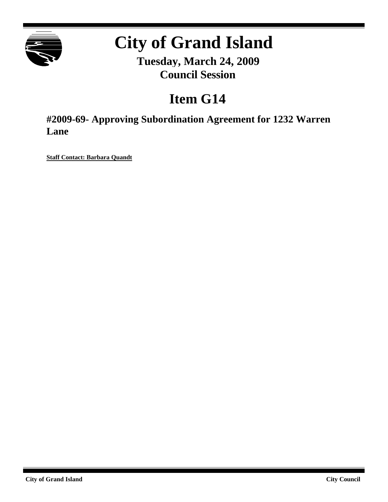

# **City of Grand Island**

**Tuesday, March 24, 2009 Council Session**

# **Item G14**

**#2009-69- Approving Subordination Agreement for 1232 Warren Lane**

**Staff Contact: Barbara Quandt**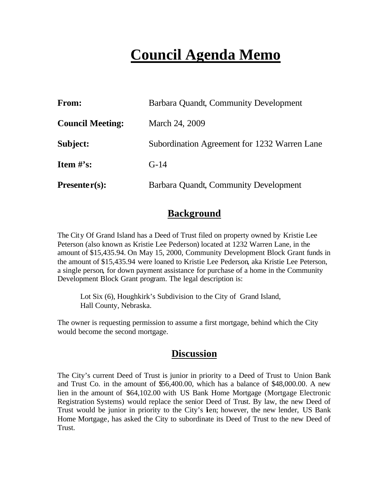# **Council Agenda Memo**

| <b>From:</b>            | Barbara Quandt, Community Development        |  |  |
|-------------------------|----------------------------------------------|--|--|
| <b>Council Meeting:</b> | March 24, 2009                               |  |  |
| Subject:                | Subordination Agreement for 1232 Warren Lane |  |  |
| Item $\#$ 's:           | $G-14$                                       |  |  |
| $Presenter(s):$         | Barbara Quandt, Community Development        |  |  |

## **Background**

The City Of Grand Island has a Deed of Trust filed on property owned by Kristie Lee Peterson (also known as Kristie Lee Pederson) located at 1232 Warren Lane, in the amount of \$15,435.94. On May 15, 2000, Community Development Block Grant funds in the amount of \$15,435.94 were loaned to Kristie Lee Pederson, aka Kristie Lee Peterson, a single person, for down payment assistance for purchase of a home in the Community Development Block Grant program. The legal description is:

Lot Six (6), Houghkirk's Subdivision to the City of Grand Island, Hall County, Nebraska.

The owner is requesting permission to assume a first mortgage, behind which the City would become the second mortgage.

### **Discussion**

The City's current Deed of Trust is junior in priority to a Deed of Trust to Union Bank and Trust Co. in the amount of \$56,400.00, which has a balance of \$48,000.00. A new lien in the amount of \$64,102.00 with US Bank Home Mortgage (Mortgage Electronic Registration Systems) would replace the senior Deed of Trust. By law, the new Deed of Trust would be junior in priority to the City's Ien; however, the new lender, US Bank Home Mortgage, has asked the City to subordinate its Deed of Trust to the new Deed of Trust.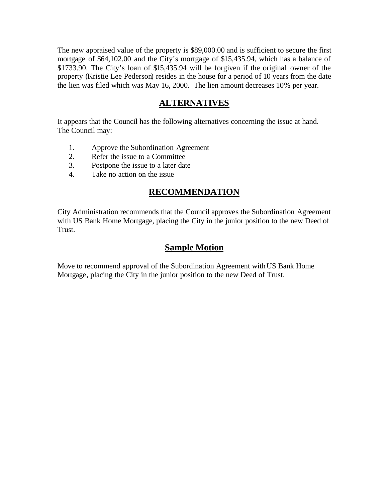The new appraised value of the property is \$89,000.00 and is sufficient to secure the first mortgage of \$64,102.00 and the City's mortgage of \$15,435.94, which has a balance of \$1733.90. The City's loan of \$15,435.94 will be forgiven if the original owner of the property (Kristie Lee Pederson) resides in the house for a period of 10 years from the date the lien was filed which was May 16, 2000. The lien amount decreases 10% per year.

### **ALTERNATIVES**

It appears that the Council has the following alternatives concerning the issue at hand. The Council may:

- 1. Approve the Subordination Agreement
- 2. Refer the issue to a Committee
- 3. Postpone the issue to a later date
- 4. Take no action on the issue

#### **RECOMMENDATION**

City Administration recommends that the Council approves the Subordination Agreement with US Bank Home Mortgage, placing the City in the junior position to the new Deed of Trust.

#### **Sample Motion**

Move to recommend approval of the Subordination Agreement withUS Bank Home Mortgage, placing the City in the junior position to the new Deed of Trust.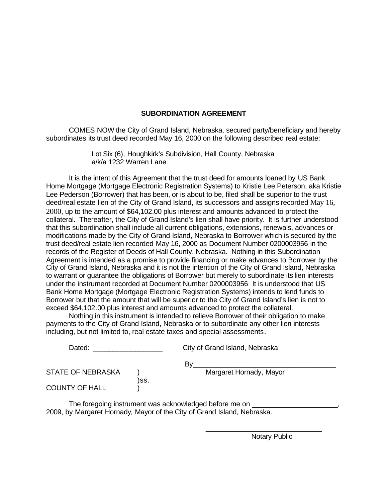#### **SUBORDINATION AGREEMENT**

COMES NOW the City of Grand Island, Nebraska, secured party/beneficiary and hereby subordinates its trust deed recorded May 16, 2000 on the following described real estate:

> Lot Six (6), Houghkirk's Subdivision, Hall County, Nebraska a/k/a 1232 Warren Lane

It is the intent of this Agreement that the trust deed for amounts loaned by US Bank Home Mortgage (Mortgage Electronic Registration Systems) to Kristie Lee Peterson, aka Kristie Lee Pederson (Borrower) that has been, or is about to be, filed shall be superior to the trust deed/real estate lien of the City of Grand Island, its successors and assigns recorded May 16, 2000, up to the amount of \$64,102.00 plus interest and amounts advanced to protect the collateral. Thereafter, the City of Grand Island's lien shall have priority. It is further understood that this subordination shall include all current obligations, extensions, renewals, advances or modifications made by the City of Grand Island, Nebraska to Borrower which is secured by the trust deed/real estate lien recorded May 16, 2000 as Document Number 0200003956 in the records of the Register of Deeds of Hall County, Nebraska. Nothing in this Subordination Agreement is intended as a promise to provide financing or make advances to Borrower by the City of Grand Island, Nebraska and it is not the intention of the City of Grand Island, Nebraska to warrant or guarantee the obligations of Borrower but merely to subordinate its lien interests under the instrument recorded at Document Number 0200003956 It is understood that US Bank Home Mortgage (Mortgage Electronic Registration Systems) intends to lend funds to Borrower but that the amount that will be superior to the City of Grand Island's lien is not to exceed \$64,102.00 plus interest and amounts advanced to protect the collateral.

Nothing in this instrument is intended to relieve Borrower of their obligation to make payments to the City of Grand Island, Nebraska or to subordinate any other lien interests including, but not limited to, real estate taxes and special assessments.

| Dated:                   |      | City of Grand Island, Nebraska |  |  |
|--------------------------|------|--------------------------------|--|--|
|                          |      | B٧                             |  |  |
| <b>STATE OF NEBRASKA</b> |      | Margaret Hornady, Mayor        |  |  |
| <b>COUNTY OF HALL</b>    | )SS. |                                |  |  |

The foregoing instrument was acknowledged before me on \_\_\_\_\_\_\_\_\_\_\_\_\_\_\_\_\_\_\_\_\_\_\_\_\_ 2009, by Margaret Hornady, Mayor of the City of Grand Island, Nebraska.

Notary Public

\_\_\_\_\_\_\_\_\_\_\_\_\_\_\_\_\_\_\_\_\_\_\_\_\_\_\_\_\_\_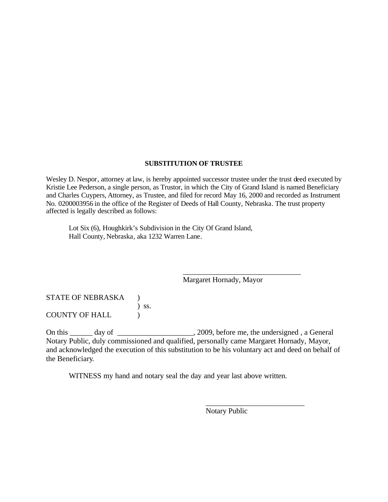#### **SUBSTITUTION OF TRUSTEE**

Wesley D. Nespor, attorney at law, is hereby appointed successor trustee under the trust deed executed by Kristie Lee Pederson, a single person, as Trustor, in which the City of Grand Island is named Beneficiary and Charles Cuypers, Attorney, as Trustee, and filed for record May 16, 2000 and recorded as Instrument No. 0200003956 in the office of the Register of Deeds of Hall County, Nebraska. The trust property affected is legally described as follows:

Lot Six (6), Houghkirk's Subdivision in the City Of Grand Island, Hall County, Nebraska, aka 1232 Warren Lane.

Margaret Hornady, Mayor

\_\_\_\_\_\_\_\_\_\_\_\_\_\_\_\_\_\_\_\_\_\_\_\_\_\_\_\_\_\_\_

STATE OF NEBRASKA ) ) ss. COUNTY OF HALL  $\qquad$ 

On this \_\_\_\_\_\_ day of \_\_\_\_\_\_\_\_\_\_\_\_\_\_\_\_\_\_\_, 2009, before me, the undersigned, a General Notary Public, duly commissioned and qualified, personally came Margaret Hornady, Mayor, and acknowledged the execution of this substitution to be his voluntary act and deed on behalf of the Beneficiary.

WITNESS my hand and notary seal the day and year last above written.

Notary Public

\_\_\_\_\_\_\_\_\_\_\_\_\_\_\_\_\_\_\_\_\_\_\_\_\_\_